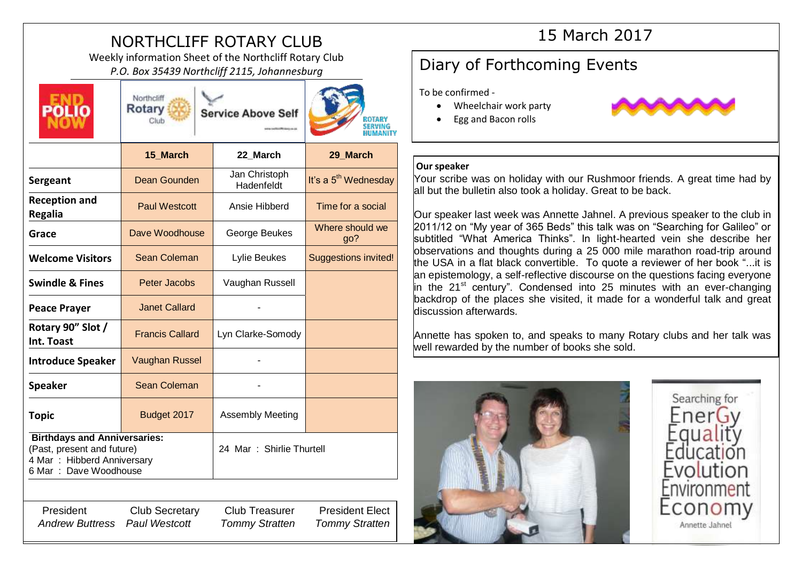# NORTHCLIFF ROTARY CLUB

Weekly information Sheet of the Northcliff Rotary Club *P.O. Box 35439 Northcliff 2115, Johannesburg* **Diary of Forthcoming Events** 



Rotary **Service Above Self** 

Northcliff

Club



|                                                                                                                           | 15_March               | 22_March                    | 29_March                         |
|---------------------------------------------------------------------------------------------------------------------------|------------------------|-----------------------------|----------------------------------|
| Sergeant                                                                                                                  | Dean Gounden           | Jan Christoph<br>Hadenfeldt | It's a 5 <sup>th</sup> Wednesday |
| <b>Reception and</b><br><b>Regalia</b>                                                                                    | <b>Paul Westcott</b>   | Ansie Hibberd               | Time for a social                |
| Grace                                                                                                                     | Dave Woodhouse         | George Beukes               | Where should we<br>go?           |
| <b>Welcome Visitors</b>                                                                                                   | Sean Coleman           | Lylie Beukes                | <b>Suggestions invited!</b>      |
| <b>Swindle &amp; Fines</b>                                                                                                | Peter Jacobs           | Vaughan Russell             |                                  |
| <b>Peace Prayer</b>                                                                                                       | <b>Janet Callard</b>   |                             |                                  |
| Rotary 90" Slot /<br>Int. Toast                                                                                           | <b>Francis Callard</b> | Lyn Clarke-Somody           |                                  |
| <b>Introduce Speaker</b>                                                                                                  | <b>Vaughan Russel</b>  |                             |                                  |
| <b>Speaker</b>                                                                                                            | <b>Sean Coleman</b>    |                             |                                  |
| <b>Topic</b>                                                                                                              | Budget 2017            | <b>Assembly Meeting</b>     |                                  |
| <b>Birthdays and Anniversaries:</b><br>(Past, present and future)<br>4 Mar : Hibberd Anniversary<br>6 Mar: Dave Woodhouse |                        | 24 Mar : Shirlie Thurtell   |                                  |
|                                                                                                                           |                        |                             |                                  |
| President                                                                                                                 | <b>Club Secretary</b>  | <b>Club Treasurer</b>       | <b>President Elect</b>           |

*Andrew Buttress Paul Westcott Tommy Stratten Tommy Stratten*

## 15 March 2017

To be confirmed -

- Wheelchair work party
- Egg and Bacon rolls



### **Our speaker**

Your scribe was on holiday with our Rushmoor friends. A great time had by all but the bulletin also took a holiday. Great to be back.

Our speaker last week was Annette Jahnel. A previous speaker to the club in 2011/12 on "My year of 365 Beds" this talk was on "Searching for Galileo" or subtitled "What America Thinks". In light-hearted vein she describe her observations and thoughts during a 25 000 mile marathon road-trip around the USA in a flat black convertible. To quote a reviewer of her book "...it is an epistemology, a self-reflective discourse on the questions facing everyone  $\overline{a}$  in the 21<sup>st</sup> century". Condensed into 25 minutes with an ever-changing backdrop of the places she visited, it made for a wonderful talk and great discussion afterwards.

Annette has spoken to, and speaks to many Rotary clubs and her talk was well rewarded by the number of books she sold.